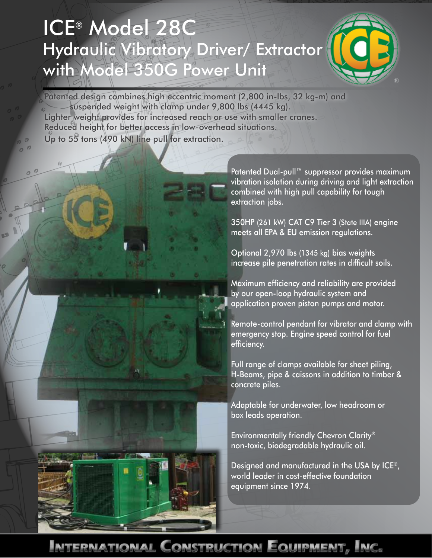## ICE® Model 28C Hydraulic Vibratory Driver/ Extractor with Model 350G Power Unit



Patented design combines high eccentric moment (2,800 in-lbs, 32 kg-m) and suspended weight with clamp under 9,800 lbs (4445 kg). Lighter weight provides for increased reach or use with smaller cranes. Reduced height for better access in low-overhead situations. Up to 55 tons (490 kN) line pull for extraction.

> Patented Dual-pull™ suppressor provides maximum vibration isolation during driving and light extraction combined with high pull capability for tough extraction jobs.

350HP (261 kW) CAT C9 Tier 3 (State IIIA) engine meets all EPA & EU emission regulations.

Optional 2,970 lbs (1345 kg) bias weights increase pile penetration rates in difficult soils.

Maximum efficiency and reliability are provided by our open-loop hydraulic system and application proven piston pumps and motor.

Remote-control pendant for vibrator and clamp with emergency stop. Engine speed control for fuel efficiency.

Full range of clamps available for sheet piling, H-Beams, pipe & caissons in addition to timber & concrete piles.

Adaptable for underwater, low headroom or box leads operation.

Environmentally friendly Chevron Clarity® non-toxic, biodegradable hydraulic oil.

Designed and manufactured in the USA by ICE®, world leader in cost-effective foundation equipment since 1974.

ernational Construction Equipment, Inc.